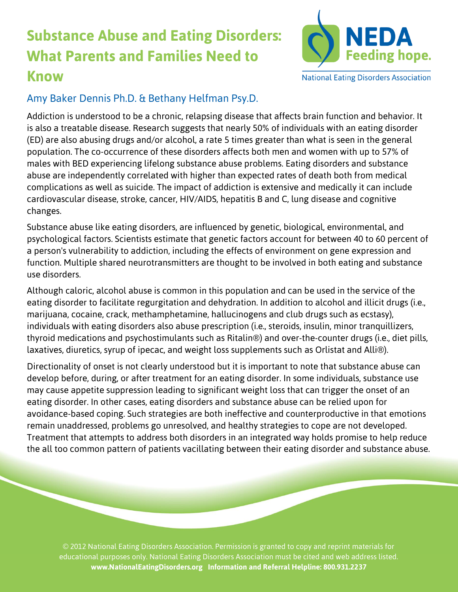## **Substance Abuse and Eating Disorders: What Parents and Families Need to Know**



**National Eating Disorders Association** 

## Amy Baker Dennis Ph.D. & Bethany Helfman Psy.D.

Addiction is understood to be a chronic, relapsing disease that affects brain function and behavior. It is also a treatable disease. Research suggests that nearly 50% of individuals with an eating disorder (ED) are also abusing drugs and/or alcohol, a rate 5 times greater than what is seen in the general population. The co-occurrence of these disorders affects both men and women with up to 57% of males with BED experiencing lifelong substance abuse problems. Eating disorders and substance abuse are independently correlated with higher than expected rates of death both from medical complications as well as suicide. The impact of addiction is extensive and medically it can include cardiovascular disease, stroke, cancer, HIV/AIDS, hepatitis B and C, lung disease and cognitive changes.

Substance abuse like eating disorders, are influenced by genetic, biological, environmental, and psychological factors. Scientists estimate that genetic factors account for between 40 to 60 percent of a person's vulnerability to addiction, including the effects of environment on gene expression and function. Multiple shared neurotransmitters are thought to be involved in both eating and substance use disorders.

Although caloric, alcohol abuse is common in this population and can be used in the service of the eating disorder to facilitate regurgitation and dehydration. In addition to alcohol and illicit drugs (i.e., marijuana, cocaine, crack, methamphetamine, hallucinogens and club drugs such as ecstasy), individuals with eating disorders also abuse prescription (i.e., steroids, insulin, minor tranquillizers, thyroid medications and psychostimulants such as Ritalin®) and over-the-counter drugs (i.e., diet pills, laxatives, diuretics, syrup of ipecac, and weight loss supplements such as Orlistat and Alli®).

Directionality of onset is not clearly understood but it is important to note that substance abuse can develop before, during, or after treatment for an eating disorder. In some individuals, substance use may cause appetite suppression leading to significant weight loss that can trigger the onset of an eating disorder. In other cases, eating disorders and substance abuse can be relied upon for avoidance-based coping. Such strategies are both ineffective and counterproductive in that emotions remain unaddressed, problems go unresolved, and healthy strategies to cope are not developed. Treatment that attempts to address both disorders in an integrated way holds promise to help reduce the all too common pattern of patients vacillating between their eating disorder and substance abuse.

© 2012 National Eating Disorders Association. Permission is granted to copy and reprint materials for educational purposes only. National Eating Disorders Association must be cited and web address listed. **www.NationalEatingDisorders.org Information and Referral Helpline: 800.931.2237**